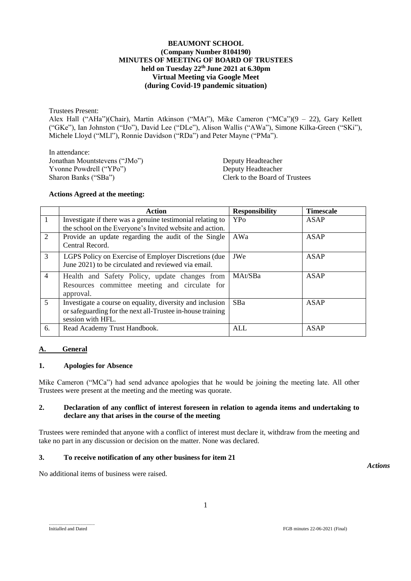### **BEAUMONT SCHOOL (Company Number 8104190) MINUTES OF MEETING OF BOARD OF TRUSTEES held on Tuesday 22 th June 2021 at 6.30pm Virtual Meeting via Google Meet (during Covid-19 pandemic situation)**

Trustees Present:

Alex Hall ("AHa")(Chair), Martin Atkinson ("MAt"), Mike Cameron ("MCa")(9 – 22), Gary Kellett ("GKe"), Ian Johnston ("IJo"), David Lee ("DLe"), Alison Wallis ("AWa"), Simone Kilka-Green ("SKi"), Michele Lloyd ("MLl"), Ronnie Davidson ("RDa") and Peter Mayne ("PMa").

In attendance: Jonathan Mountstevens ("JMo") Deputy Headteacher Yvonne Powdrell ("YPo")<br>
Sharon Banks ("SBa") Deputy Headteacher<br>
Clerk to the Board of

Clerk to the Board of Trustees

### **Actions Agreed at the meeting:**

|                             | Action                                                                                                                                       | <b>Responsibility</b>  | <b>Timescale</b> |
|-----------------------------|----------------------------------------------------------------------------------------------------------------------------------------------|------------------------|------------------|
| -1                          | Investigate if there was a genuine testimonial relating to                                                                                   | <b>YP</b> <sup>o</sup> | <b>ASAP</b>      |
|                             | the school on the Everyone's Invited website and action.                                                                                     |                        |                  |
| $\mathcal{D}_{\mathcal{L}}$ | Provide an update regarding the audit of the Single<br>Central Record.                                                                       | AWa                    | ASAP             |
| 3                           | LGPS Policy on Exercise of Employer Discretions (due)<br>June 2021) to be circulated and reviewed via email.                                 | JWe                    | ASAP             |
| $\overline{4}$              | Health and Safety Policy, update changes from<br>Resources committee meeting and circulate for<br>approval.                                  | MAt/SBa                | <b>ASAP</b>      |
| $\overline{5}$              | Investigate a course on equality, diversity and inclusion<br>or safeguarding for the next all-Trustee in-house training<br>session with HFL. | <b>SBa</b>             | ASAP             |
| 6.                          | Read Academy Trust Handbook.                                                                                                                 | <b>ALL</b>             | <b>ASAP</b>      |

# **A. General**

# **1. Apologies for Absence**

Mike Cameron ("MCa") had send advance apologies that he would be joining the meeting late. All other Trustees were present at the meeting and the meeting was quorate.

# **2. Declaration of any conflict of interest foreseen in relation to agenda items and undertaking to declare any that arises in the course of the meeting**

Trustees were reminded that anyone with a conflict of interest must declare it, withdraw from the meeting and take no part in any discussion or decision on the matter. None was declared.

# **3. To receive notification of any other business for item 21**

No additional items of business were raised.

*Actions*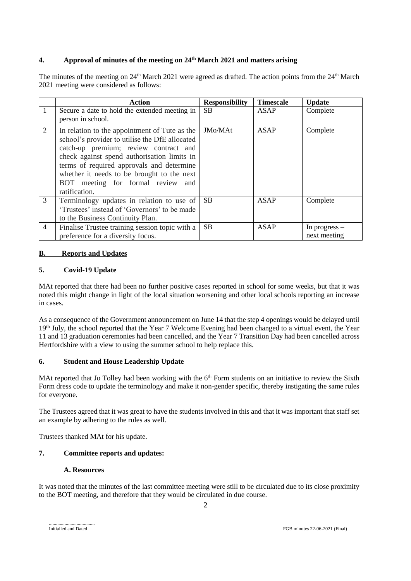# **4. Approval of minutes of the meeting on 24 th March 2021 and matters arising**

The minutes of the meeting on 24<sup>th</sup> March 2021 were agreed as drafted. The action points from the 24<sup>th</sup> March 2021 meeting were considered as follows:

|                | <b>Action</b>                                  | <b>Responsibility</b> | <b>Timescale</b> | <b>Update</b>   |
|----------------|------------------------------------------------|-----------------------|------------------|-----------------|
| 1              | Secure a date to hold the extended meeting in  | <b>SB</b>             | ASAP             | Complete        |
|                | person in school.                              |                       |                  |                 |
| 2              | In relation to the appointment of Tute as the  | JMo/MAt               | ASAP             | Complete        |
|                | school's provider to utilise the DfE allocated |                       |                  |                 |
|                | catch-up premium; review contract and          |                       |                  |                 |
|                | check against spend authorisation limits in    |                       |                  |                 |
|                | terms of required approvals and determine      |                       |                  |                 |
|                | whether it needs to be brought to the next     |                       |                  |                 |
|                | BOT meeting for formal review<br>and           |                       |                  |                 |
|                | ratification.                                  |                       |                  |                 |
| 3              | Terminology updates in relation to use of      | <b>SB</b>             | ASAP             | Complete        |
|                | 'Trustees' instead of 'Governors' to be made   |                       |                  |                 |
|                | to the Business Continuity Plan.               |                       |                  |                 |
| $\overline{4}$ | Finalise Trustee training session topic with a | <b>SB</b>             | <b>ASAP</b>      | In progress $-$ |
|                | preference for a diversity focus.              |                       |                  | next meeting    |

# **B. Reports and Updates**

# **5. Covid-19 Update**

MAt reported that there had been no further positive cases reported in school for some weeks, but that it was noted this might change in light of the local situation worsening and other local schools reporting an increase in cases.

As a consequence of the Government announcement on June 14 that the step 4 openings would be delayed until 19th July, the school reported that the Year 7 Welcome Evening had been changed to a virtual event, the Year 11 and 13 graduation ceremonies had been cancelled, and the Year 7 Transition Day had been cancelled across Hertfordshire with a view to using the summer school to help replace this.

# **6. Student and House Leadership Update**

MAt reported that Jo Tolley had been working with the 6<sup>th</sup> Form students on an initiative to review the Sixth Form dress code to update the terminology and make it non-gender specific, thereby instigating the same rules for everyone.

The Trustees agreed that it was great to have the students involved in this and that it was important that staff set an example by adhering to the rules as well.

Trustees thanked MAt for his update.

# **7. Committee reports and updates:**

# **A. Resources**

It was noted that the minutes of the last committee meeting were still to be circulated due to its close proximity to the BOT meeting, and therefore that they would be circulated in due course.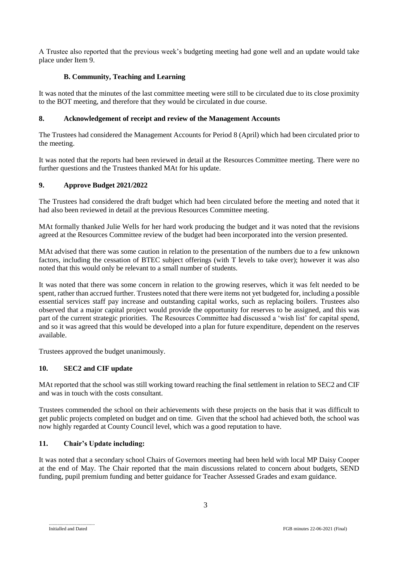A Trustee also reported that the previous week's budgeting meeting had gone well and an update would take place under Item 9.

# **B. Community, Teaching and Learning**

It was noted that the minutes of the last committee meeting were still to be circulated due to its close proximity to the BOT meeting, and therefore that they would be circulated in due course.

# **8. Acknowledgement of receipt and review of the Management Accounts**

The Trustees had considered the Management Accounts for Period 8 (April) which had been circulated prior to the meeting.

It was noted that the reports had been reviewed in detail at the Resources Committee meeting. There were no further questions and the Trustees thanked MAt for his update.

# **9. Approve Budget 2021/2022**

The Trustees had considered the draft budget which had been circulated before the meeting and noted that it had also been reviewed in detail at the previous Resources Committee meeting.

MAt formally thanked Julie Wells for her hard work producing the budget and it was noted that the revisions agreed at the Resources Committee review of the budget had been incorporated into the version presented.

MAt advised that there was some caution in relation to the presentation of the numbers due to a few unknown factors, including the cessation of BTEC subject offerings (with T levels to take over); however it was also noted that this would only be relevant to a small number of students.

It was noted that there was some concern in relation to the growing reserves, which it was felt needed to be spent, rather than accrued further. Trustees noted that there were items not yet budgeted for, including a possible essential services staff pay increase and outstanding capital works, such as replacing boilers. Trustees also observed that a major capital project would provide the opportunity for reserves to be assigned, and this was part of the current strategic priorities. The Resources Committee had discussed a 'wish list' for capital spend, and so it was agreed that this would be developed into a plan for future expenditure, dependent on the reserves available.

Trustees approved the budget unanimously.

# **10. SEC2 and CIF update**

MAt reported that the school was still working toward reaching the final settlement in relation to SEC2 and CIF and was in touch with the costs consultant.

Trustees commended the school on their achievements with these projects on the basis that it was difficult to get public projects completed on budget and on time. Given that the school had achieved both, the school was now highly regarded at County Council level, which was a good reputation to have.

# **11. Chair's Update including:**

It was noted that a secondary school Chairs of Governors meeting had been held with local MP Daisy Cooper at the end of May. The Chair reported that the main discussions related to concern about budgets, SEND funding, pupil premium funding and better guidance for Teacher Assessed Grades and exam guidance.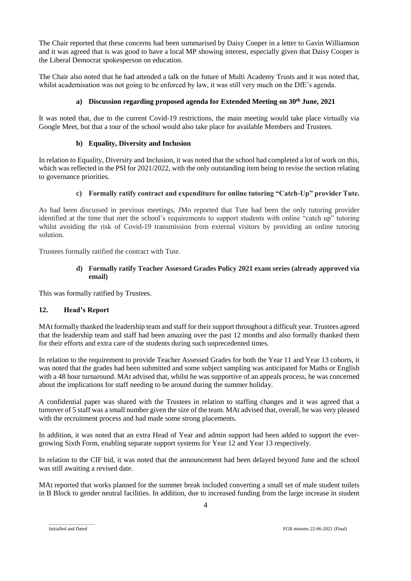The Chair reported that these concerns had been summarised by Daisy Cooper in a letter to Gavin Williamson and it was agreed that is was good to have a local MP showing interest, especially given that Daisy Cooper is the Liberal Democrat spokesperson on education.

The Chair also noted that he had attended a talk on the future of Multi Academy Trusts and it was noted that, whilst academisation was not going to be enforced by law, it was still very much on the DfE's agenda.

# **a) Discussion regarding proposed agenda for Extended Meeting on 30th June, 2021**

It was noted that, due to the current Covid-19 restrictions, the main meeting would take place virtually via Google Meet, but that a tour of the school would also take place for available Members and Trustees.

# **b) Equality, Diversity and Inclusion**

In relation to Equality, Diversity and Inclusion, it was noted that the school had completed a lot of work on this, which was reflected in the PSI for 2021/2022, with the only outstanding item being to revise the section relating to governance priorities.

### **c) Formally ratify contract and expenditure for online tutoring "Catch-Up" provider Tute.**

As had been discussed in previous meetings, JMo reported that Tute had been the only tutoring provider identified at the time that met the school's requirements to support students with online "catch up" tutoring whilst avoiding the risk of Covid-19 transmission from external visitors by providing an online tutoring solution.

Trustees formally ratified the contract with Tute.

### **d) Formally ratify Teacher Assessed Grades Policy 2021 exam series (already approved via email)**

This was formally ratified by Trustees.

# **12. Head's Report**

MAt formally thanked the leadership team and staff for their support throughout a difficult year. Trustees agreed that the leadership team and staff had been amazing over the past 12 months and also formally thanked them for their efforts and extra care of the students during such unprecedented times.

In relation to the requirement to provide Teacher Assessed Grades for both the Year 11 and Year 13 cohorts, it was noted that the grades had been submitted and some subject sampling was anticipated for Maths or English with a 48 hour turnaround. MAt advised that, whilst he was supportive of an appeals process, he was concerned about the implications for staff needing to be around during the summer holiday.

A confidential paper was shared with the Trustees in relation to staffing changes and it was agreed that a turnover of 5 staff was a small number given the size of the team. MAt advised that, overall, he was very pleased with the recruitment process and had made some strong placements.

In addition, it was noted that an extra Head of Year and admin support had been added to support the evergrowing Sixth Form, enabling separate support systems for Year 12 and Year 13 respectively.

In relation to the CIF bid, it was noted that the announcement had been delayed beyond June and the school was still awaiting a revised date.

MAt reported that works planned for the summer break included converting a small set of male student toilets in B Block to gender neutral facilities. In addition, due to increased funding from the large increase in student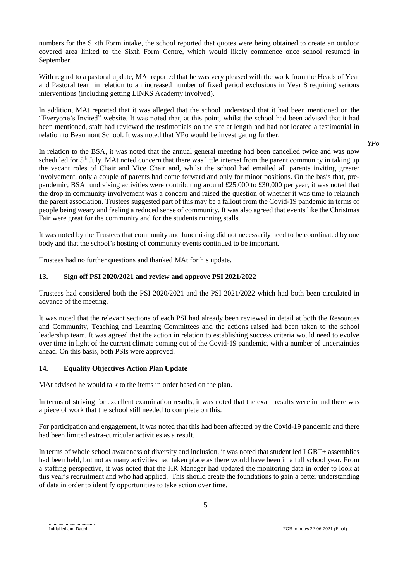numbers for the Sixth Form intake, the school reported that quotes were being obtained to create an outdoor covered area linked to the Sixth Form Centre, which would likely commence once school resumed in September.

With regard to a pastoral update, MAt reported that he was very pleased with the work from the Heads of Year and Pastoral team in relation to an increased number of fixed period exclusions in Year 8 requiring serious interventions (including getting LINKS Academy involved).

In addition, MAt reported that it was alleged that the school understood that it had been mentioned on the "Everyone's Invited" website. It was noted that, at this point, whilst the school had been advised that it had been mentioned, staff had reviewed the testimonials on the site at length and had not located a testimonial in relation to Beaumont School. It was noted that YPo would be investigating further.

*YPo*

In relation to the BSA, it was noted that the annual general meeting had been cancelled twice and was now scheduled for 5<sup>th</sup> July. MAt noted concern that there was little interest from the parent community in taking up the vacant roles of Chair and Vice Chair and, whilst the school had emailed all parents inviting greater involvement, only a couple of parents had come forward and only for minor positions. On the basis that, prepandemic, BSA fundraising activities were contributing around £25,000 to £30,000 per year, it was noted that the drop in community involvement was a concern and raised the question of whether it was time to relaunch the parent association. Trustees suggested part of this may be a fallout from the Covid-19 pandemic in terms of people being weary and feeling a reduced sense of community. It was also agreed that events like the Christmas Fair were great for the community and for the students running stalls.

It was noted by the Trustees that community and fundraising did not necessarily need to be coordinated by one body and that the school's hosting of community events continued to be important.

Trustees had no further questions and thanked MAt for his update.

# **13. Sign off PSI 2020/2021 and review and approve PSI 2021/2022**

Trustees had considered both the PSI 2020/2021 and the PSI 2021/2022 which had both been circulated in advance of the meeting.

It was noted that the relevant sections of each PSI had already been reviewed in detail at both the Resources and Community, Teaching and Learning Committees and the actions raised had been taken to the school leadership team. It was agreed that the action in relation to establishing success criteria would need to evolve over time in light of the current climate coming out of the Covid-19 pandemic, with a number of uncertainties ahead. On this basis, both PSIs were approved.

# **14. Equality Objectives Action Plan Update**

MAt advised he would talk to the items in order based on the plan.

In terms of striving for excellent examination results, it was noted that the exam results were in and there was a piece of work that the school still needed to complete on this.

For participation and engagement, it was noted that this had been affected by the Covid-19 pandemic and there had been limited extra-curricular activities as a result.

In terms of whole school awareness of diversity and inclusion, it was noted that student led LGBT+ assemblies had been held, but not as many activities had taken place as there would have been in a full school year. From a staffing perspective, it was noted that the HR Manager had updated the monitoring data in order to look at this year's recruitment and who had applied. This should create the foundations to gain a better understanding of data in order to identify opportunities to take action over time.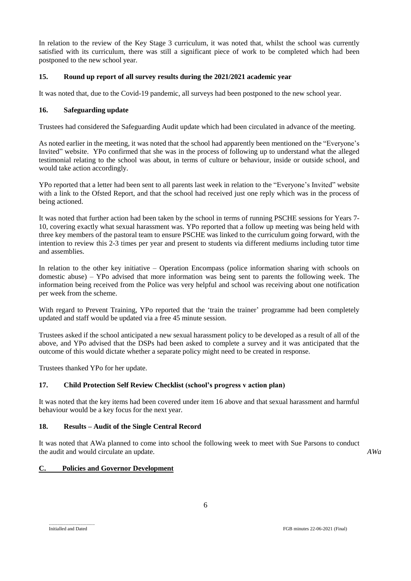In relation to the review of the Key Stage 3 curriculum, it was noted that, whilst the school was currently satisfied with its curriculum, there was still a significant piece of work to be completed which had been postponed to the new school year.

# **15. Round up report of all survey results during the 2021/2021 academic year**

It was noted that, due to the Covid-19 pandemic, all surveys had been postponed to the new school year.

# **16. Safeguarding update**

Trustees had considered the Safeguarding Audit update which had been circulated in advance of the meeting.

As noted earlier in the meeting, it was noted that the school had apparently been mentioned on the "Everyone's Invited" website. YPo confirmed that she was in the process of following up to understand what the alleged testimonial relating to the school was about, in terms of culture or behaviour, inside or outside school, and would take action accordingly.

YPo reported that a letter had been sent to all parents last week in relation to the "Everyone's Invited" website with a link to the Ofsted Report, and that the school had received just one reply which was in the process of being actioned.

It was noted that further action had been taken by the school in terms of running PSCHE sessions for Years 7- 10, covering exactly what sexual harassment was. YPo reported that a follow up meeting was being held with three key members of the pastoral team to ensure PSCHE was linked to the curriculum going forward, with the intention to review this 2-3 times per year and present to students via different mediums including tutor time and assemblies.

In relation to the other key initiative – Operation Encompass (police information sharing with schools on domestic abuse) – YPo advised that more information was being sent to parents the following week. The information being received from the Police was very helpful and school was receiving about one notification per week from the scheme.

With regard to Prevent Training, YPo reported that the 'train the trainer' programme had been completely updated and staff would be updated via a free 45 minute session.

Trustees asked if the school anticipated a new sexual harassment policy to be developed as a result of all of the above, and YPo advised that the DSPs had been asked to complete a survey and it was anticipated that the outcome of this would dictate whether a separate policy might need to be created in response.

Trustees thanked YPo for her update.

# **17. Child Protection Self Review Checklist (school's progress v action plan)**

It was noted that the key items had been covered under item 16 above and that sexual harassment and harmful behaviour would be a key focus for the next year.

# **18. Results – Audit of the Single Central Record**

It was noted that AWa planned to come into school the following week to meet with Sue Parsons to conduct the audit and would circulate an update.

*AWa*

# **C. Policies and Governor Development**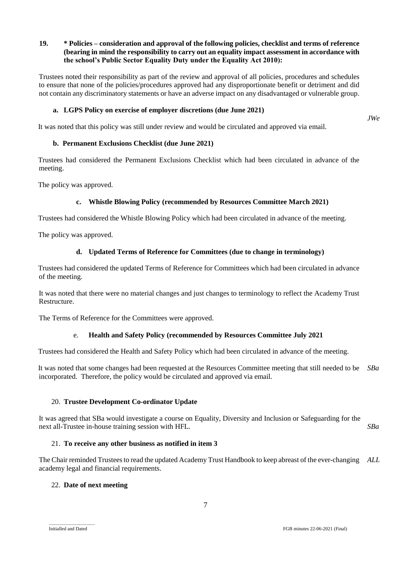# **19. \* Policies – consideration and approval of the following policies, checklist and terms of reference (bearing in mind the responsibility to carry out an equality impact assessment in accordance with the school's Public Sector Equality Duty under the Equality Act 2010):**

Trustees noted their responsibility as part of the review and approval of all policies, procedures and schedules to ensure that none of the policies/procedures approved had any disproportionate benefit or detriment and did not contain any discriminatory statements or have an adverse impact on any disadvantaged or vulnerable group.

### **a. LGPS Policy on exercise of employer discretions (due June 2021)**

It was noted that this policy was still under review and would be circulated and approved via email.

### **b. Permanent Exclusions Checklist (due June 2021)**

Trustees had considered the Permanent Exclusions Checklist which had been circulated in advance of the meeting.

The policy was approved.

# **c. Whistle Blowing Policy (recommended by Resources Committee March 2021)**

Trustees had considered the Whistle Blowing Policy which had been circulated in advance of the meeting.

The policy was approved.

### **d. Updated Terms of Reference for Committees (due to change in terminology)**

Trustees had considered the updated Terms of Reference for Committees which had been circulated in advance of the meeting.

It was noted that there were no material changes and just changes to terminology to reflect the Academy Trust Restructure.

The Terms of Reference for the Committees were approved.

#### e. **Health and Safety Policy (recommended by Resources Committee July 2021**

Trustees had considered the Health and Safety Policy which had been circulated in advance of the meeting.

It was noted that some changes had been requested at the Resources Committee meeting that still needed to be *SBa* incorporated. Therefore, the policy would be circulated and approved via email.

#### 20. **Trustee Development Co-ordinator Update**

It was agreed that SBa would investigate a course on Equality, Diversity and Inclusion or Safeguarding for the next all-Trustee in-house training session with HFL. *SBa*

#### 21. **To receive any other business as notified in item 3**

The Chair reminded Trustees to read the updated Academy Trust Handbook to keep abreast of the ever-changing *ALL*academy legal and financial requirements.

#### 22. **Date of next meeting**